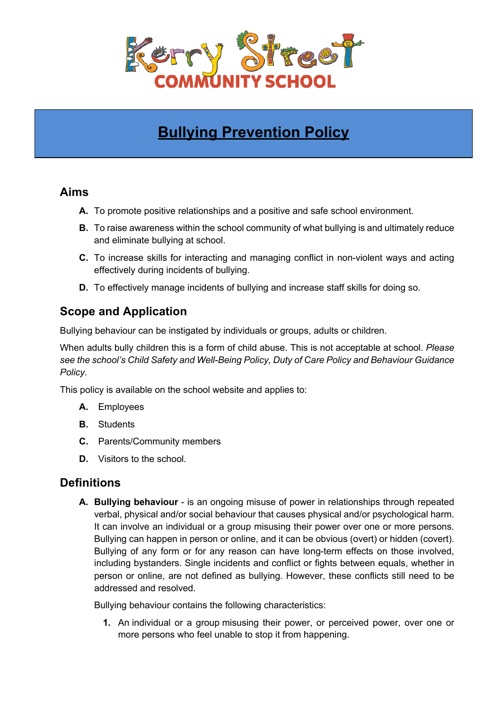

# **Bullying Prevention Policy**

## **Aims**

- **A.** To promote positive relationships and a positive and safe school environment.
- **B.** To raise awareness within the school community of what bullying is and ultimately reduce and eliminate bullying at school.
- **C.** To increase skills for interacting and managing conflict in non-violent ways and acting effectively during incidents of bullying.
- **D.** To effectively manage incidents of bullying and increase staff skills for doing so.

# **Scope and Application**

Bullying behaviour can be instigated by individuals or groups, adults or children.

When adults bully children this is a form of child abuse. This is not acceptable at school. *Please see the school's Child Safety and Well-Being Policy, Duty of Care Policy and Behaviour Guidance Policy.*

This policy is available on the school website and applies to:

- **A.** Employees
- **B.** Students
- **C.** Parents/Community members
- **D.** Visitors to the school.

## **Definitions**

**A. Bullying behaviour** - is an ongoing misuse of power in relationships through repeated verbal, physical and/or social behaviour that causes physical and/or psychological harm. It can involve an individual or a group misusing their power over one or more persons. Bullying can happen in person or online, and it can be obvious (overt) or hidden (covert). Bullying of any form or for any reason can have long-term effects on those involved, including bystanders. Single incidents and conflict or fights between equals, whether in person or online, are not defined as bullying. However, these conflicts still need to be addressed and resolved.

Bullying behaviour contains the following characteristics:

**1.** An individual or a group misusing their power, or perceived power, over one or more persons who feel unable to stop it from happening.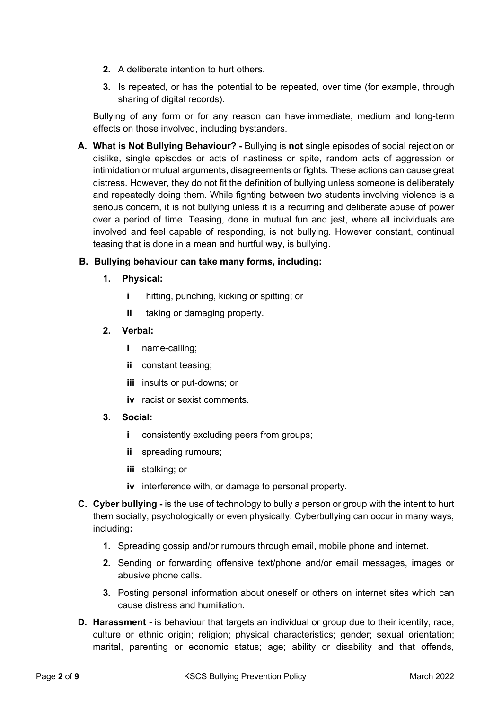- **2.** A deliberate intention to hurt others.
- **3.** Is repeated, or has the potential to be repeated, over time (for example, through sharing of digital records).

Bullying of any form or for any reason can have immediate, medium and long-term effects on those involved, including bystanders.

**A. What is Not Bullying Behaviour? -** Bullying is **not** single episodes of social rejection or dislike, single episodes or acts of nastiness or spite, random acts of aggression or intimidation or mutual arguments, disagreements or fights. These actions can cause great distress. However, they do not fit the definition of bullying unless someone is deliberately and repeatedly doing them. While fighting between two students involving violence is a serious concern, it is not bullying unless it is a recurring and deliberate abuse of power over a period of time. Teasing, done in mutual fun and jest, where all individuals are involved and feel capable of responding, is not bullying. However constant, continual teasing that is done in a mean and hurtful way, is bullying.

#### **B. Bullying behaviour can take many forms, including:**

- **1. Physical:**
	- **i** hitting, punching, kicking or spitting; or
	- **ii** taking or damaging property.
- **2. Verbal:**
	- **i** name-calling;
	- **ii** constant teasing;
	- **iii** insults or put-downs; or
	- **iv** racist or sexist comments.
- **3. Social:**
	- **i** consistently excluding peers from groups;
	- **ii** spreading rumours;
	- **iii** stalking; or
	- **iv** interference with, or damage to personal property.
- **C. Cyber bullying -** is the use of technology to bully a person or group with the intent to hurt them socially, psychologically or even physically. Cyberbullying can occur in many ways, including**:**
	- **1.** Spreading gossip and/or rumours through email, mobile phone and internet.
	- **2.** Sending or forwarding offensive text/phone and/or email messages, images or abusive phone calls.
	- **3.** Posting personal information about oneself or others on internet sites which can cause distress and humiliation.
- **D. Harassment** *-* is behaviour that targets an individual or group due to their identity, race, culture or ethnic origin; religion; physical characteristics; gender; sexual orientation; marital, parenting or economic status; age; ability or disability and that offends,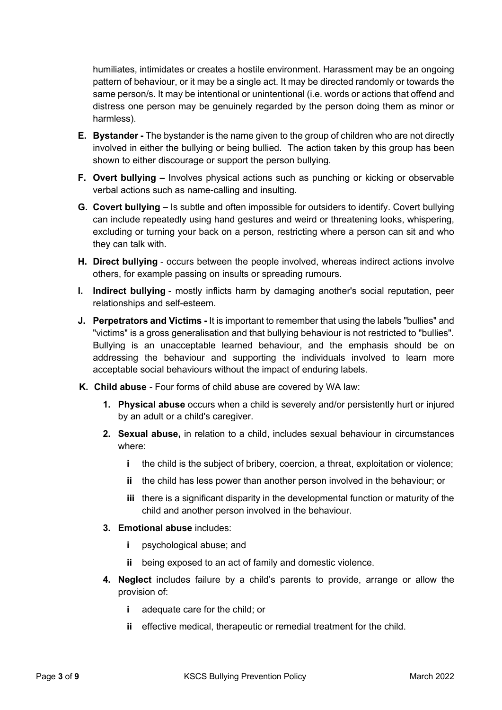humiliates, intimidates or creates a hostile environment. Harassment may be an ongoing pattern of behaviour, or it may be a single act. It may be directed randomly or towards the same person/s. It may be intentional or unintentional (i.e. words or actions that offend and distress one person may be genuinely regarded by the person doing them as minor or harmless).

- **E. Bystander -** The bystander is the name given to the group of children who are not directly involved in either the bullying or being bullied. The action taken by this group has been shown to either discourage or support the person bullying.
- **F. Overt bullying –** Involves physical actions such as punching or kicking or observable verbal actions such as name-calling and insulting.
- **G. Covert bullying –** Is subtle and often impossible for outsiders to identify. Covert bullying can include repeatedly using hand gestures and weird or threatening looks, whispering, excluding or turning your back on a person, restricting where a person can sit and who they can talk with.
- **H. Direct bullying** occurs between the people involved, whereas indirect actions involve others, for example passing on insults or spreading rumours.
- **I. Indirect bullying** mostly inflicts harm by damaging another's social reputation, peer relationships and self-esteem.
- **J. Perpetrators and Victims -** It is important to remember that using the labels "bullies" and "victims" is a gross generalisation and that bullying behaviour is not restricted to "bullies". Bullying is an unacceptable learned behaviour, and the emphasis should be on addressing the behaviour and supporting the individuals involved to learn more acceptable social behaviours without the impact of enduring labels.
- **K. Child abuse** *-* Four forms of child abuse are covered by WA law:
	- **1. Physical abuse** occurs when a child is severely and/or persistently hurt or injured by an adult or a child's caregiver.
	- **2. Sexual abuse,** in relation to a child, includes sexual behaviour in circumstances where:
		- **i** the child is the subject of bribery, coercion, a threat, exploitation or violence;
		- **ii** the child has less power than another person involved in the behaviour; or
		- **iii** there is a significant disparity in the developmental function or maturity of the child and another person involved in the behaviour.
	- **3. Emotional abuse** includes:
		- **i** psychological abuse; and
		- **ii** being exposed to an act of family and domestic violence.
	- **4. Neglect** includes failure by a child's parents to provide, arrange or allow the provision of:
		- **i** adequate care for the child; or
		- **ii** effective medical, therapeutic or remedial treatment for the child.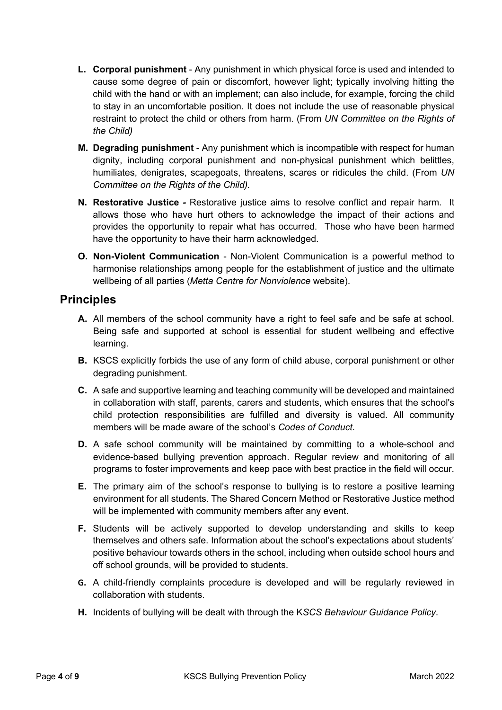- **L. Corporal punishment** Any punishment in which physical force is used and intended to cause some degree of pain or discomfort, however light; typically involving hitting the child with the hand or with an implement; can also include, for example, forcing the child to stay in an uncomfortable position. It does not include the use of reasonable physical restraint to protect the child or others from harm. (From *UN Committee on the Rights of the Child)*
- **M. Degrading punishment** Any punishment which is incompatible with respect for human dignity, including corporal punishment and non-physical punishment which belittles, humiliates, denigrates, scapegoats, threatens, scares or ridicules the child. (From *UN Committee on the Rights of the Child).*
- **N. Restorative Justice** *-* Restorative justice aims to resolve conflict and repair harm. It allows those who have hurt others to acknowledge the impact of their actions and provides the opportunity to repair what has occurred. Those who have been harmed have the opportunity to have their harm acknowledged.
- **O. Non-Violent Communication** Non-Violent Communication is a powerful method to harmonise relationships among people for the establishment of justice and the ultimate wellbeing of all parties (*Metta Centre for Nonviolence* website).

## **Principles**

- **A.** All members of the school community have a right to feel safe and be safe at school. Being safe and supported at school is essential for student wellbeing and effective learning.
- **B.** KSCS explicitly forbids the use of any form of child abuse, corporal punishment or other degrading punishment.
- **C.** A safe and supportive learning and teaching community will be developed and maintained in collaboration with staff, parents, carers and students, which ensures that the school's child protection responsibilities are fulfilled and diversity is valued. All community members will be made aware of the school's *Codes of Conduct*.
- **D.** A safe school community will be maintained by committing to a whole-school and evidence-based bullying prevention approach. Regular review and monitoring of all programs to foster improvements and keep pace with best practice in the field will occur.
- **E.** The primary aim of the school's response to bullying is to restore a positive learning environment for all students. The Shared Concern Method or Restorative Justice method will be implemented with community members after any event.
- **F.** Students will be actively supported to develop understanding and skills to keep themselves and others safe. Information about the school's expectations about students' positive behaviour towards others in the school, including when outside school hours and off school grounds, will be provided to students.
- **G.** A child-friendly complaints procedure is developed and will be regularly reviewed in collaboration with students.
- **H.** Incidents of bullying will be dealt with through the K*SCS Behaviour Guidance Policy*.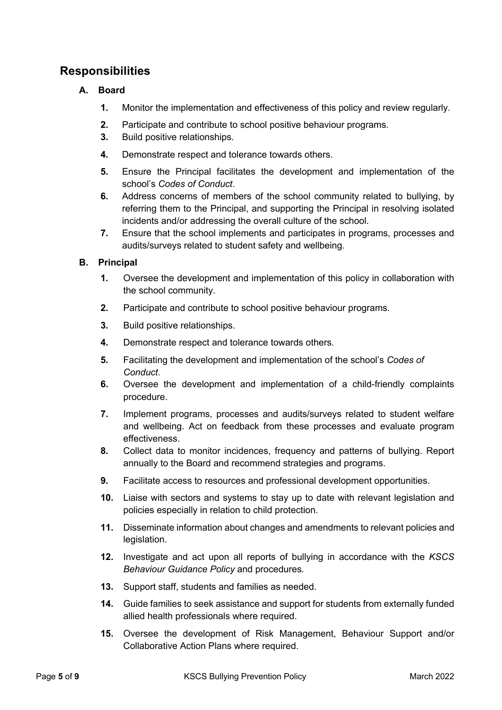# **Responsibilities**

### **A. Board**

- **1.** Monitor the implementation and effectiveness of this policy and review regularly.
- **2.** Participate and contribute to school positive behaviour programs.
- **3.** Build positive relationships.
- **4.** Demonstrate respect and tolerance towards others.
- **5.** Ensure the Principal facilitates the development and implementation of the school's *Codes of Conduct*.
- **6.** Address concerns of members of the school community related to bullying, by referring them to the Principal, and supporting the Principal in resolving isolated incidents and/or addressing the overall culture of the school.
- **7.** Ensure that the school implements and participates in programs, processes and audits/surveys related to student safety and wellbeing.

### **B. Principal**

- **1.** Oversee the development and implementation of this policy in collaboration with the school community.
- **2.** Participate and contribute to school positive behaviour programs.
- **3.** Build positive relationships.
- **4.** Demonstrate respect and tolerance towards others.
- **5.** Facilitating the development and implementation of the school's *Codes of Conduct*.
- **6.** Oversee the development and implementation of a child-friendly complaints procedure.
- **7.** Implement programs, processes and audits/surveys related to student welfare and wellbeing. Act on feedback from these processes and evaluate program effectiveness.
- **8.** Collect data to monitor incidences, frequency and patterns of bullying. Report annually to the Board and recommend strategies and programs.
- **9.** Facilitate access to resources and professional development opportunities.
- **10.** Liaise with sectors and systems to stay up to date with relevant legislation and policies especially in relation to child protection.
- **11.** Disseminate information about changes and amendments to relevant policies and legislation.
- **12.** Investigate and act upon all reports of bullying in accordance with the *KSCS Behaviour Guidance Policy* and procedures*.*
- **13.** Support staff, students and families as needed.
- **14.** Guide families to seek assistance and support for students from externally funded allied health professionals where required.
- **15.** Oversee the development of Risk Management, Behaviour Support and/or Collaborative Action Plans where required.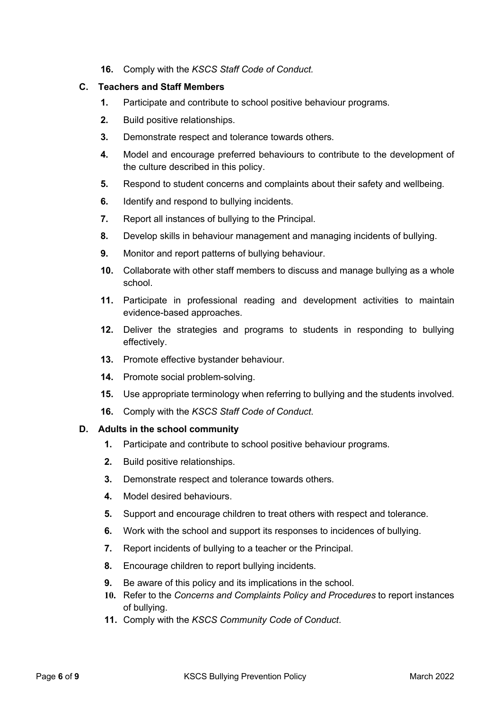**16.** Comply with the *KSCS Staff Code of Conduct.*

#### **C. Teachers and Staff Members**

- **1.** Participate and contribute to school positive behaviour programs.
- **2.** Build positive relationships.
- **3.** Demonstrate respect and tolerance towards others.
- **4.** Model and encourage preferred behaviours to contribute to the development of the culture described in this policy.
- **5.** Respond to student concerns and complaints about their safety and wellbeing.
- **6.** Identify and respond to bullying incidents.
- **7.** Report all instances of bullying to the Principal.
- **8.** Develop skills in behaviour management and managing incidents of bullying.
- **9.** Monitor and report patterns of bullying behaviour.
- **10.** Collaborate with other staff members to discuss and manage bullying as a whole school.
- **11.** Participate in professional reading and development activities to maintain evidence-based approaches.
- **12.** Deliver the strategies and programs to students in responding to bullying effectively.
- **13.** Promote effective bystander behaviour.
- **14.** Promote social problem-solving.
- **15.** Use appropriate terminology when referring to bullying and the students involved.
- **16.** Comply with the *KSCS Staff Code of Conduct*.

#### **D. Adults in the school community**

- **1.** Participate and contribute to school positive behaviour programs.
- **2.** Build positive relationships.
- **3.** Demonstrate respect and tolerance towards others.
- **4.** Model desired behaviours.
- **5.** Support and encourage children to treat others with respect and tolerance.
- **6.** Work with the school and support its responses to incidences of bullying.
- **7.** Report incidents of bullying to a teacher or the Principal.
- **8.** Encourage children to report bullying incidents.
- **9.** Be aware of this policy and its implications in the school.
- **10.** Refer to the *Concerns and Complaints Policy and Procedures* to report instances of bullying.
- **11.** Comply with the *KSCS Community Code of Conduct*.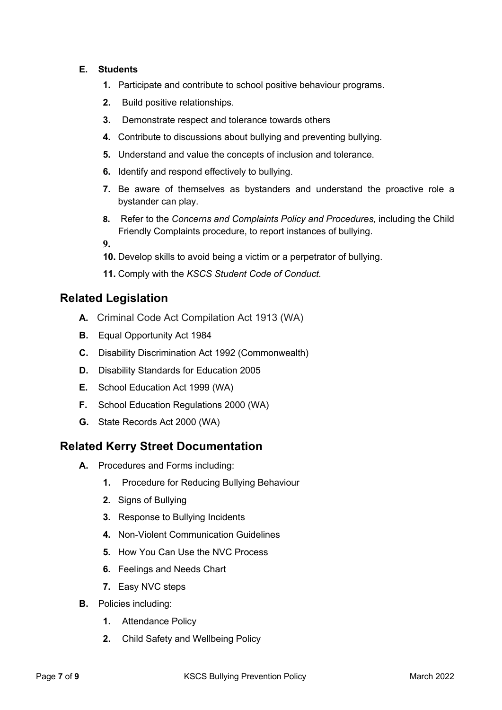#### **E. Students**

- **1.** Participate and contribute to school positive behaviour programs.
- **2.** Build positive relationships.
- **3.** Demonstrate respect and tolerance towards others
- **4.** Contribute to discussions about bullying and preventing bullying.
- **5.** Understand and value the concepts of inclusion and tolerance.
- **6.** Identify and respond effectively to bullying.
- **7.** Be aware of themselves as bystanders and understand the proactive role a bystander can play.
- **8.** Refer to the *Concerns and Complaints Policy and Procedures,* including the Child Friendly Complaints procedure, to report instances of bullying.

**9.**

- **10.** Develop skills to avoid being a victim or a perpetrator of bullying.
- **11.** Comply with the *KSCS Student Code of Conduct*.

### **Related Legislation**

- **A.** Criminal Code Act Compilation Act 1913 (WA)
- **B.** Equal Opportunity Act 1984
- **C.** Disability Discrimination Act 1992 (Commonwealth)
- **D.** Disability Standards for Education 2005
- **E.** School Education Act 1999 (WA)
- **F.** School Education Regulations 2000 (WA)
- **G.** State Records Act 2000 (WA)

### **Related Kerry Street Documentation**

- **A.** Procedures and Forms including:
	- **1.** Procedure for Reducing Bullying Behaviour
	- **2.** Signs of Bullying
	- **3.** Response to Bullying Incidents
	- **4.** Non-Violent Communication Guidelines
	- **5.** How You Can Use the NVC Process
	- **6.** Feelings and Needs Chart
	- **7.** Easy NVC steps
- **B.** Policies including:
	- **1.** Attendance Policy
	- **2.** Child Safety and Wellbeing Policy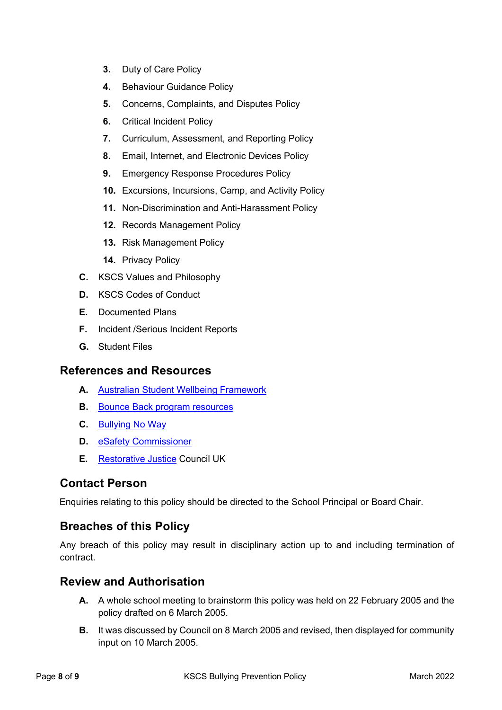- **3.** Duty of Care Policy
- **4.** Behaviour Guidance Policy
- **5.** Concerns, Complaints, and Disputes Policy
- **6.** Critical Incident Policy
- **7.** Curriculum, Assessment, and Reporting Policy
- **8.** Email, Internet, and Electronic Devices Policy
- **9.** Emergency Response Procedures Policy
- **10.** Excursions, Incursions, Camp, and Activity Policy
- **11.** Non-Discrimination and Anti-Harassment Policy
- **12.** Records Management Policy
- **13.** Risk Management Policy
- **14.** Privacy Policy
- **C.** KSCS Values and Philosophy
- **D.** KSCS Codes of Conduct
- **E.** Documented Plans
- **F.** Incident /Serious Incident Reports
- **G.** Student Files

### **References and Resources**

- **A.** Australian Student Wellbeing Framework
- **B.** Bounce Back program resources
- **C.** Bullying No Way
- **D.** eSafety Commissioner
- **E.** Restorative Justice Council UK

# **Contact Person**

Enquiries relating to this policy should be directed to the School Principal or Board Chair.

# **Breaches of this Policy**

Any breach of this policy may result in disciplinary action up to and including termination of contract.

## **Review and Authorisation**

- **A.** A whole school meeting to brainstorm this policy was held on 22 February 2005 and the policy drafted on 6 March 2005.
- **B.** It was discussed by Council on 8 March 2005 and revised, then displayed for community input on 10 March 2005.